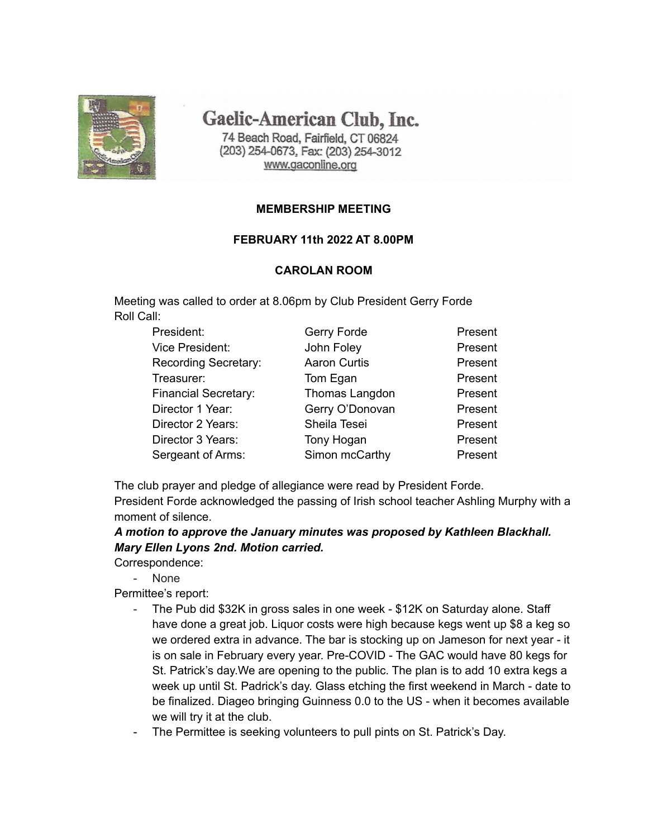

Gaelic-American Club, Inc.

74 Beach Road, Fairfield, CT 06824 (203) 254-0673, Fax: (203) 254-3012 www.gaconline.org

### **MEMBERSHIP MEETING**

### **FEBRUARY 11th 2022 AT 8.00PM**

### **CAROLAN ROOM**

Meeting was called to order at 8.06pm by Club President Gerry Forde Roll Call:

| Gerry Forde         | Present |
|---------------------|---------|
| John Foley          | Present |
| <b>Aaron Curtis</b> | Present |
| Tom Egan            | Present |
| Thomas Langdon      | Present |
| Gerry O'Donovan     | Present |
| Sheila Tesei        | Present |
| Tony Hogan          | Present |
| Simon mcCarthy      | Present |
|                     |         |

The club prayer and pledge of allegiance were read by President Forde. President Forde acknowledged the passing of Irish school teacher Ashling Murphy with a moment of silence.

## *A motion to approve the January minutes was proposed by Kathleen Blackhall. Mary Ellen Lyons 2nd. Motion carried.*

Correspondence:

- None

Permittee's report:

- The Pub did \$32K in gross sales in one week \$12K on Saturday alone. Staff have done a great job. Liquor costs were high because kegs went up \$8 a keg so we ordered extra in advance. The bar is stocking up on Jameson for next year - it is on sale in February every year. Pre-COVID - The GAC would have 80 kegs for St. Patrick's day.We are opening to the public. The plan is to add 10 extra kegs a week up until St. Padrick's day. Glass etching the first weekend in March - date to be finalized. Diageo bringing Guinness 0.0 to the US - when it becomes available we will try it at the club.
- The Permittee is seeking volunteers to pull pints on St. Patrick's Day.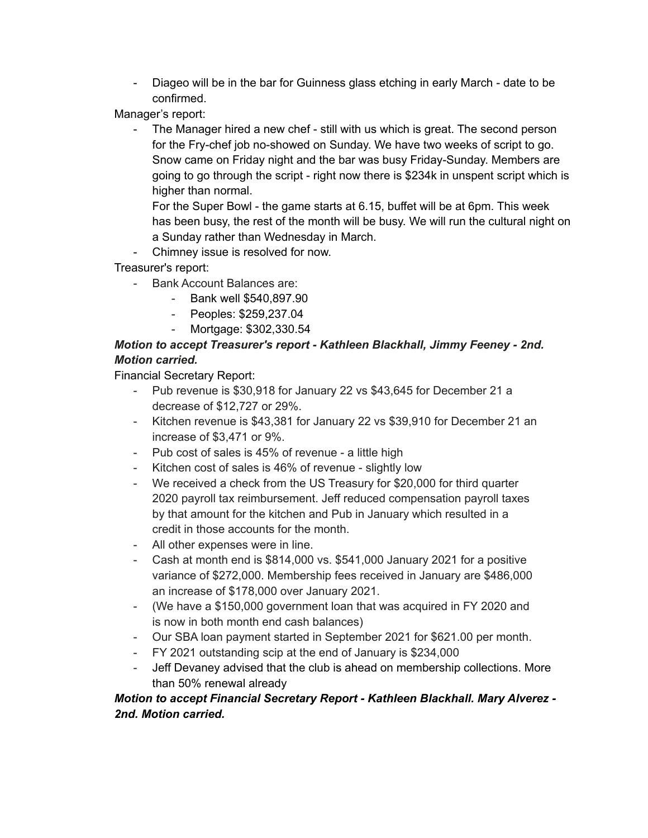- Diageo will be in the bar for Guinness glass etching in early March - date to be confirmed.

Manager's report:

The Manager hired a new chef - still with us which is great. The second person for the Fry-chef job no-showed on Sunday. We have two weeks of script to go. Snow came on Friday night and the bar was busy Friday-Sunday. Members are going to go through the script - right now there is \$234k in unspent script which is higher than normal.

For the Super Bowl - the game starts at 6.15, buffet will be at 6pm. This week has been busy, the rest of the month will be busy. We will run the cultural night on a Sunday rather than Wednesday in March.

- Chimney issue is resolved for now.

Treasurer's report:

- Bank Account Balances are:
	- Bank well \$540,897.90
	- Peoples: \$259,237.04
	- Mortgage: \$302,330.54

# *Motion to accept Treasurer's report - Kathleen Blackhall, Jimmy Feeney - 2nd. Motion carried.*

Financial Secretary Report:

- Pub revenue is \$30,918 for January 22 vs \$43,645 for December 21 a decrease of \$12,727 or 29%.
- Kitchen revenue is \$43,381 for January 22 vs \$39,910 for December 21 an increase of \$3,471 or 9%.
- Pub cost of sales is 45% of revenue a little high
- Kitchen cost of sales is 46% of revenue slightly low
- We received a check from the US Treasury for \$20,000 for third quarter 2020 payroll tax reimbursement. Jeff reduced compensation payroll taxes by that amount for the kitchen and Pub in January which resulted in a credit in those accounts for the month.
- All other expenses were in line.
- Cash at month end is \$814,000 vs. \$541,000 January 2021 for a positive variance of \$272,000. Membership fees received in January are \$486,000 an increase of \$178,000 over January 2021.
- (We have a \$150,000 government loan that was acquired in FY 2020 and is now in both month end cash balances)
- Our SBA loan payment started in September 2021 for \$621.00 per month.
- FY 2021 outstanding scip at the end of January is \$234,000
- Jeff Devaney advised that the club is ahead on membership collections. More than 50% renewal already

# *Motion to accept Financial Secretary Report - Kathleen Blackhall. Mary Alverez - 2nd. Motion carried.*